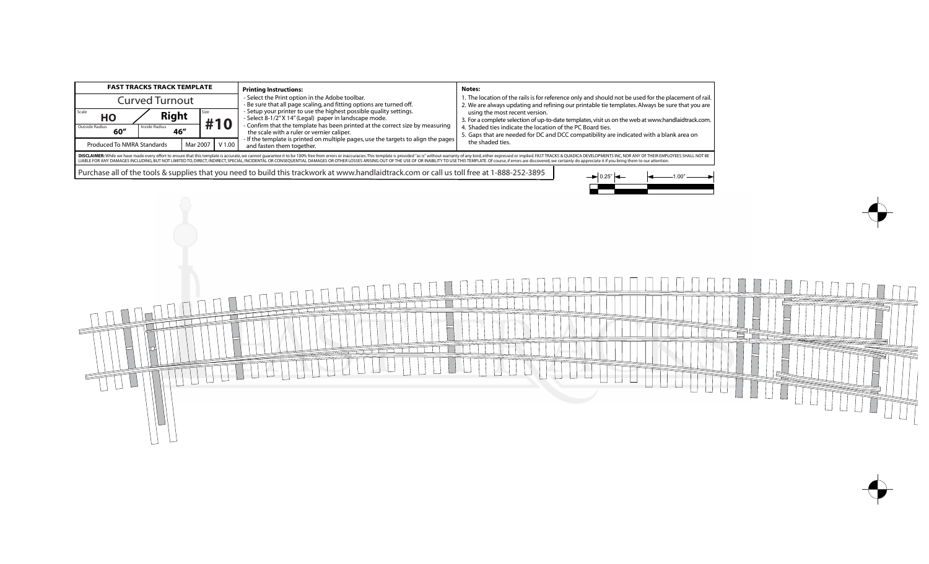